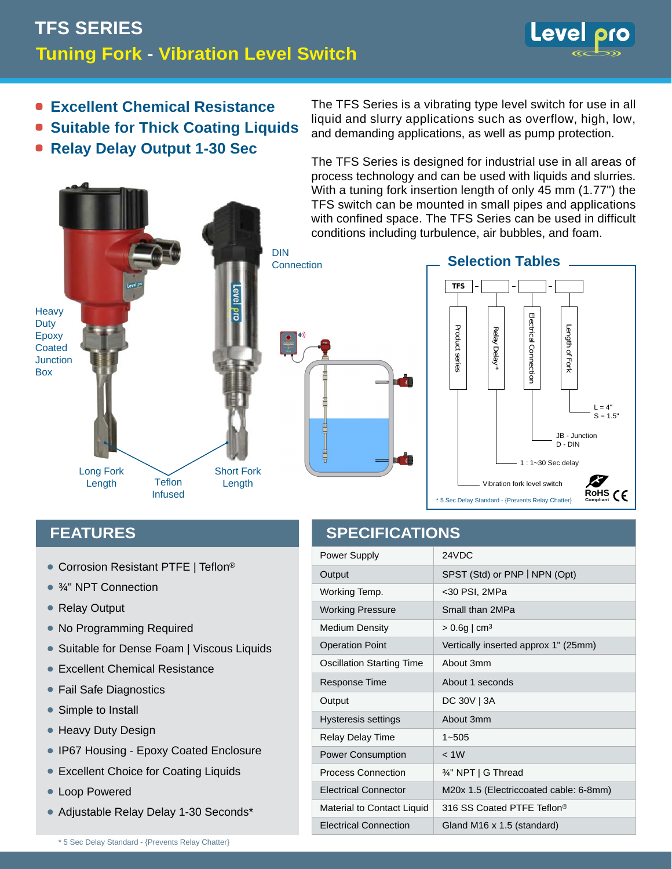## **Tuning Fork - Vibration Level Switch TFS SERIES**



- **Excellent Chemical Resistance**
- **Suitable for Thick Coating Liquids**
- **Relay Delay Output 1-30 Sec**

The TFS Series is a vibrating type level switch for use in all liquid and slurry applications such as overflow, high, low, and demanding applications, as well as pump protection.

The TFS Series is designed for industrial use in all areas of process technology and can be used with liquids and slurries. With a tuning fork insertion length of only 45 mm (1.77") the TFS switch can be mounted in small pipes and applications with confined space. The TFS Series can be used in difficult conditions including turbulence, air bubbles, and foam.





## **FEATURES**

- Corrosion Resistant PTFE | Teflon®
- ¾" NPT Connection
- Relay Output
- No Programming Required
- Suitable for Dense Foam | Viscous Liquids
- Excellent Chemical Resistance •
- **Fail Safe Diagnostics**
- Simple to Install
- Heavy Duty Design
- **IP67 Housing Epoxy Coated Enclosure**
- **Excellent Choice for Coating Liquids**
- Loop Powered
- Adjustable Relay Delay 1-30 Seconds\* •

## **SPECIFICATIONS**

| Power Supply                     | 24VDC                                  |
|----------------------------------|----------------------------------------|
| Output                           | SPST (Std) or PNP   NPN (Opt)          |
| Working Temp.                    | <30 PSI, 2MPa                          |
| <b>Working Pressure</b>          | Small than 2MPa                        |
| <b>Medium Density</b>            | $> 0.6g$   cm <sup>3</sup>             |
| <b>Operation Point</b>           | Vertically inserted approx 1" (25mm)   |
| <b>Oscillation Starting Time</b> | About 3mm                              |
| Response Time                    | About 1 seconds                        |
| Output                           | DC 30V   3A                            |
| <b>Hysteresis settings</b>       | About 3mm                              |
| Relay Delay Time                 | $1 - 505$                              |
| <b>Power Consumption</b>         | < 1W                                   |
| <b>Process Connection</b>        | 34" NPT   G Thread                     |
| <b>Electrical Connector</b>      | M20x 1.5 (Electriccoated cable: 6-8mm) |
| Material to Contact Liquid       | 316 SS Coated PTFF Teflon <sup>®</sup> |
| <b>Electrical Connection</b>     | Gland M16 x 1.5 (standard)             |